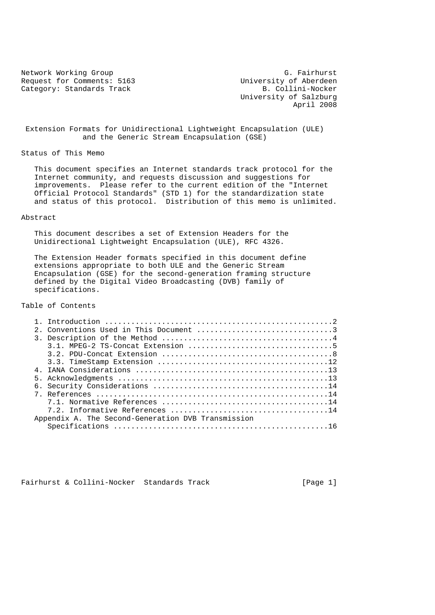Request for Comments: 5163 University of Aberdeen<br>Category: Standards Track B. Collini-Nocker Category: Standards Track

Network Working Group G. Fairhurst<br>Request for Comments: 5163 (University of Aberdeen University of Salzburg April 2008

 Extension Formats for Unidirectional Lightweight Encapsulation (ULE) and the Generic Stream Encapsulation (GSE)

Status of This Memo

 This document specifies an Internet standards track protocol for the Internet community, and requests discussion and suggestions for improvements. Please refer to the current edition of the "Internet Official Protocol Standards" (STD 1) for the standardization state and status of this protocol. Distribution of this memo is unlimited.

### Abstract

 This document describes a set of Extension Headers for the Unidirectional Lightweight Encapsulation (ULE), RFC 4326.

 The Extension Header formats specified in this document define extensions appropriate to both ULE and the Generic Stream Encapsulation (GSE) for the second-generation framing structure defined by the Digital Video Broadcasting (DVB) family of specifications.

Table of Contents

|  | 2. Conventions Used in This Document 3             |
|--|----------------------------------------------------|
|  |                                                    |
|  |                                                    |
|  |                                                    |
|  |                                                    |
|  |                                                    |
|  |                                                    |
|  |                                                    |
|  |                                                    |
|  |                                                    |
|  |                                                    |
|  | Appendix A. The Second-Generation DVB Transmission |
|  |                                                    |

Fairhurst & Collini-Nocker Standards Track [Page 1]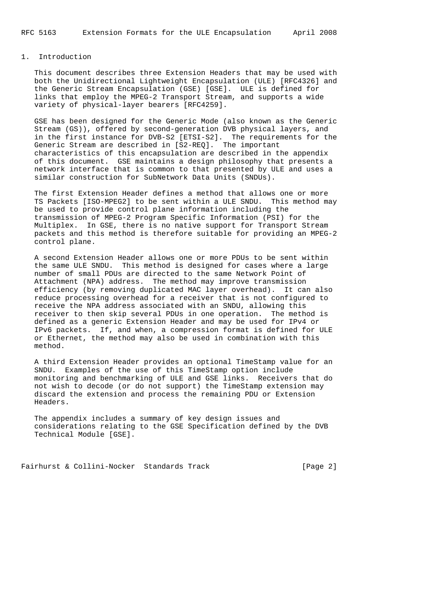## 1. Introduction

 This document describes three Extension Headers that may be used with both the Unidirectional Lightweight Encapsulation (ULE) [RFC4326] and the Generic Stream Encapsulation (GSE) [GSE]. ULE is defined for links that employ the MPEG-2 Transport Stream, and supports a wide variety of physical-layer bearers [RFC4259].

 GSE has been designed for the Generic Mode (also known as the Generic Stream (GS)), offered by second-generation DVB physical layers, and in the first instance for DVB-S2 [ETSI-S2]. The requirements for the Generic Stream are described in [S2-REQ]. The important characteristics of this encapsulation are described in the appendix of this document. GSE maintains a design philosophy that presents a network interface that is common to that presented by ULE and uses a similar construction for SubNetwork Data Units (SNDUs).

 The first Extension Header defines a method that allows one or more TS Packets [ISO-MPEG2] to be sent within a ULE SNDU. This method may be used to provide control plane information including the transmission of MPEG-2 Program Specific Information (PSI) for the Multiplex. In GSE, there is no native support for Transport Stream packets and this method is therefore suitable for providing an MPEG-2 control plane.

 A second Extension Header allows one or more PDUs to be sent within the same ULE SNDU. This method is designed for cases where a large number of small PDUs are directed to the same Network Point of Attachment (NPA) address. The method may improve transmission efficiency (by removing duplicated MAC layer overhead). It can also reduce processing overhead for a receiver that is not configured to receive the NPA address associated with an SNDU, allowing this receiver to then skip several PDUs in one operation. The method is defined as a generic Extension Header and may be used for IPv4 or IPv6 packets. If, and when, a compression format is defined for ULE or Ethernet, the method may also be used in combination with this method.

 A third Extension Header provides an optional TimeStamp value for an SNDU. Examples of the use of this TimeStamp option include monitoring and benchmarking of ULE and GSE links. Receivers that do not wish to decode (or do not support) the TimeStamp extension may discard the extension and process the remaining PDU or Extension Headers.

 The appendix includes a summary of key design issues and considerations relating to the GSE Specification defined by the DVB Technical Module [GSE].

Fairhurst & Collini-Nocker Standards Track [Page 2]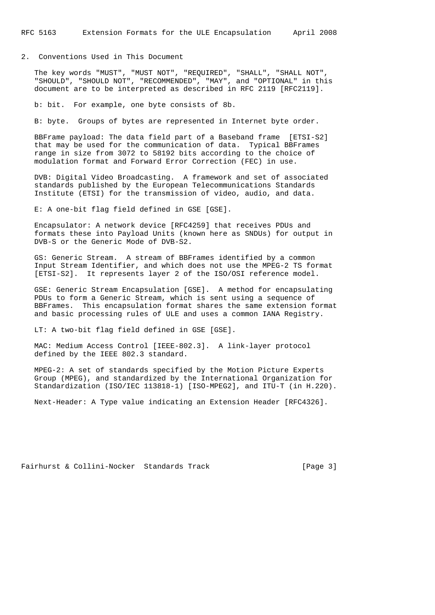#### 2. Conventions Used in This Document

 The key words "MUST", "MUST NOT", "REQUIRED", "SHALL", "SHALL NOT", "SHOULD", "SHOULD NOT", "RECOMMENDED", "MAY", and "OPTIONAL" in this document are to be interpreted as described in RFC 2119 [RFC2119].

b: bit. For example, one byte consists of 8b.

B: byte. Groups of bytes are represented in Internet byte order.

 BBFrame payload: The data field part of a Baseband frame [ETSI-S2] that may be used for the communication of data. Typical BBFrames range in size from 3072 to 58192 bits according to the choice of modulation format and Forward Error Correction (FEC) in use.

 DVB: Digital Video Broadcasting. A framework and set of associated standards published by the European Telecommunications Standards Institute (ETSI) for the transmission of video, audio, and data.

E: A one-bit flag field defined in GSE [GSE].

 Encapsulator: A network device [RFC4259] that receives PDUs and formats these into Payload Units (known here as SNDUs) for output in DVB-S or the Generic Mode of DVB-S2.

 GS: Generic Stream. A stream of BBFrames identified by a common Input Stream Identifier, and which does not use the MPEG-2 TS format [ETSI-S2]. It represents layer 2 of the ISO/OSI reference model.

 GSE: Generic Stream Encapsulation [GSE]. A method for encapsulating PDUs to form a Generic Stream, which is sent using a sequence of BBFrames. This encapsulation format shares the same extension format and basic processing rules of ULE and uses a common IANA Registry.

LT: A two-bit flag field defined in GSE [GSE].

 MAC: Medium Access Control [IEEE-802.3]. A link-layer protocol defined by the IEEE 802.3 standard.

 MPEG-2: A set of standards specified by the Motion Picture Experts Group (MPEG), and standardized by the International Organization for Standardization (ISO/IEC 113818-1) [ISO-MPEG2], and ITU-T (in H.220).

Next-Header: A Type value indicating an Extension Header [RFC4326].

```
Fairhurst & Collini-Nocker Standards Track [Page 3]
```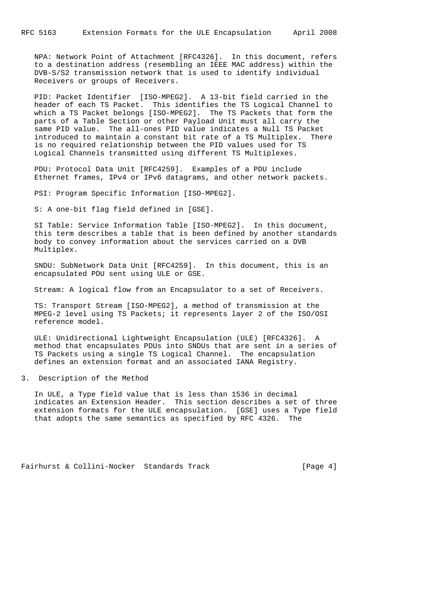NPA: Network Point of Attachment [RFC4326]. In this document, refers to a destination address (resembling an IEEE MAC address) within the DVB-S/S2 transmission network that is used to identify individual Receivers or groups of Receivers.

 PID: Packet Identifier [ISO-MPEG2]. A 13-bit field carried in the header of each TS Packet. This identifies the TS Logical Channel to which a TS Packet belongs [ISO-MPEG2]. The TS Packets that form the parts of a Table Section or other Payload Unit must all carry the same PID value. The all-ones PID value indicates a Null TS Packet introduced to maintain a constant bit rate of a TS Multiplex. There is no required relationship between the PID values used for TS Logical Channels transmitted using different TS Multiplexes.

 PDU: Protocol Data Unit [RFC4259]. Examples of a PDU include Ethernet frames, IPv4 or IPv6 datagrams, and other network packets.

PSI: Program Specific Information [ISO-MPEG2].

S: A one-bit flag field defined in [GSE].

 SI Table: Service Information Table [ISO-MPEG2]. In this document, this term describes a table that is been defined by another standards body to convey information about the services carried on a DVB Multiplex.

 SNDU: SubNetwork Data Unit [RFC4259]. In this document, this is an encapsulated PDU sent using ULE or GSE.

Stream: A logical flow from an Encapsulator to a set of Receivers.

 TS: Transport Stream [ISO-MPEG2], a method of transmission at the MPEG-2 level using TS Packets; it represents layer 2 of the ISO/OSI reference model.

 ULE: Unidirectional Lightweight Encapsulation (ULE) [RFC4326]. A method that encapsulates PDUs into SNDUs that are sent in a series of TS Packets using a single TS Logical Channel. The encapsulation defines an extension format and an associated IANA Registry.

3. Description of the Method

 In ULE, a Type field value that is less than 1536 in decimal indicates an Extension Header. This section describes a set of three extension formats for the ULE encapsulation. [GSE] uses a Type field that adopts the same semantics as specified by RFC 4326. The

Fairhurst & Collini-Nocker Standards Track [Page 4]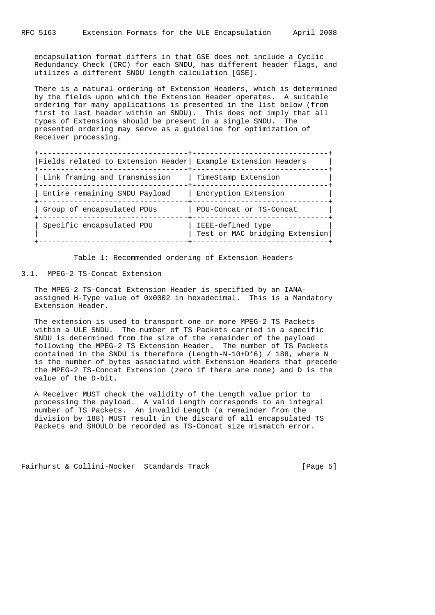encapsulation format differs in that GSE does not include a Cyclic Redundancy Check (CRC) for each SNDU, has different header flags, and utilizes a different SNDU length calculation [GSE].

 There is a natural ordering of Extension Headers, which is determined by the fields upon which the Extension Header operates. A suitable ordering for many applications is presented in the list below (from first to last header within an SNDU). This does not imply that all types of Extensions should be present in a single SNDU. The presented ordering may serve as a guideline for optimization of Receiver processing.

| Fields related to Extension Header Example Extension Headers |                                                     |
|--------------------------------------------------------------|-----------------------------------------------------|
| Link framing and transmission                                | TimeStamp Extension                                 |
| Entire remaining SNDU Payload                                | Encryption Extension                                |
| Group of encapsulated PDUs                                   | PDU-Concat or TS-Concat                             |
| Specific encapsulated PDU                                    | IEEE-defined type<br>Test or MAC bridging Extension |

Table 1: Recommended ordering of Extension Headers

3.1. MPEG-2 TS-Concat Extension

 The MPEG-2 TS-Concat Extension Header is specified by an IANA assigned H-Type value of 0x0002 in hexadecimal. This is a Mandatory Extension Header.

 The extension is used to transport one or more MPEG-2 TS Packets within a ULE SNDU. The number of TS Packets carried in a specific SNDU is determined from the size of the remainder of the payload following the MPEG-2 TS Extension Header. The number of TS Packets contained in the SNDU is therefore (Length-N-10+D\*6) / 188, where N is the number of bytes associated with Extension Headers that precede the MPEG-2 TS-Concat Extension (zero if there are none) and D is the value of the D-bit.

 A Receiver MUST check the validity of the Length value prior to processing the payload. A valid Length corresponds to an integral number of TS Packets. An invalid Length (a remainder from the division by 188) MUST result in the discard of all encapsulated TS Packets and SHOULD be recorded as TS-Concat size mismatch error.

Fairhurst & Collini-Nocker Standards Track [Page 5]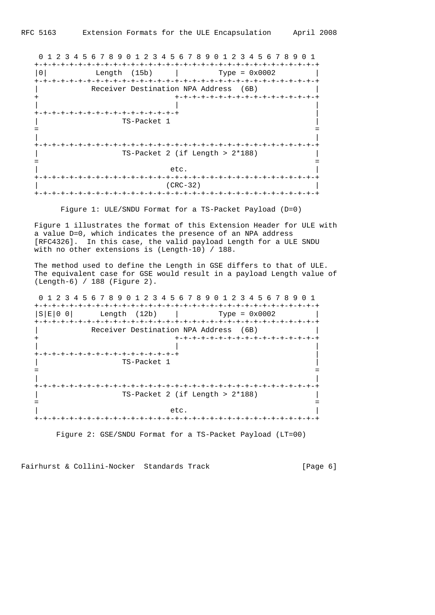0 1 2 3 4 5 6 7 8 9 0 1 2 3 4 5 6 7 8 9 0 1 2 3 4 5 6 7 8 9 0 1 +-+-+-+-+-+-+-+-+-+-+-+-+-+-+-+-+-+-+-+-+-+-+-+-+-+-+-+-+-+-+-+-+ |0| Length (15b) | Type = 0x0002 | +-+-+-+-+-+-+-+-+-+-+-+-+-+-+-+-+-+-+-+-+-+-+-+-+-+-+-+-+-+-+-+-+ Receiver Destination NPA Address (6B) + +-+-+-+-+-+-+-+-+-+-+-+-+-+-+-+-+ | | | +-+-+-+-+-+-+-+-+-+-+-+-+-+-+-+-+ | | TS-Packet 1 | = = | | +-+-+-+-+-+-+-+-+-+-+-+-+-+-+-+-+-+-+-+-+-+-+-+-+-+-+-+-+-+-+-+-+ | TS-Packet 2 (if Length > 2\*188) | = = | etc. | +-+-+-+-+-+-+-+-+-+-+-+-+-+-+-+-+-+-+-+-+-+-+-+-+-+-+-+-+-+-+-+-+ | (CRC-32) | +-+-+-+-+-+-+-+-+-+-+-+-+-+-+-+-+-+-+-+-+-+-+-+-+-+-+-+-+-+-+-+-+

Figure 1: ULE/SNDU Format for a TS-Packet Payload (D=0)

 Figure 1 illustrates the format of this Extension Header for ULE with a value D=0, which indicates the presence of an NPA address [RFC4326]. In this case, the valid payload Length for a ULE SNDU with no other extensions is (Length-10) / 188.

 The method used to define the Length in GSE differs to that of ULE. The equivalent case for GSE would result in a payload Length value of (Length-6) / 188 (Figure 2).

 0 1 2 3 4 5 6 7 8 9 0 1 2 3 4 5 6 7 8 9 0 1 2 3 4 5 6 7 8 9 0 1 +-+-+-+-+-+-+-+-+-+-+-+-+-+-+-+-+-+-+-+-+-+-+-+-+-+-+-+-+-+-+-+-+  $|S|E|0 0|$  Length (12b)  $|$  Type = 0x0002  $|$  +-+-+-+-+-+-+-+-+-+-+-+-+-+-+-+-+-+-+-+-+-+-+-+-+-+-+-+-+-+-+-+-+ Receiver Destination NPA Address (6B) + +-+-+-+-+-+-+-+-+-+-+-+-+-+-+-+-+ | | | +-+-+-+-+-+-+-+-+-+-+-+-+-+-+-+-+ | | TS-Packet 1 | = = | | +-+-+-+-+-+-+-+-+-+-+-+-+-+-+-+-+-+-+-+-+-+-+-+-+-+-+-+-+-+-+-+-+ | TS-Packet 2 (if Length > 2\*188) | = = | etc. | +-+-+-+-+-+-+-+-+-+-+-+-+-+-+-+-+-+-+-+-+-+-+-+-+-+-+-+-+-+-+-+-+

Figure 2: GSE/SNDU Format for a TS-Packet Payload (LT=00)

Fairhurst & Collini-Nocker Standards Track [Page 6]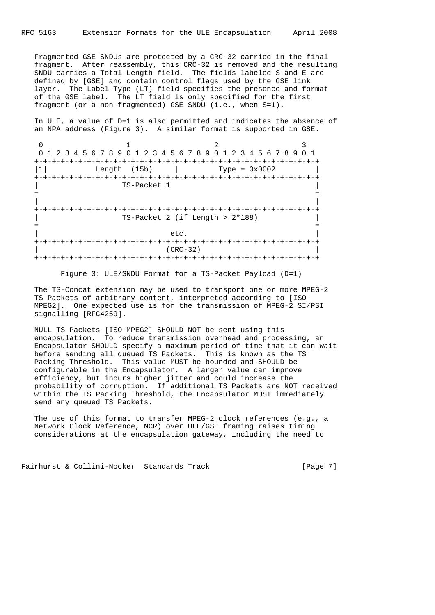Fragmented GSE SNDUs are protected by a CRC-32 carried in the final fragment. After reassembly, this CRC-32 is removed and the resulting SNDU carries a Total Length field. The fields labeled S and E are defined by [GSE] and contain control flags used by the GSE link layer. The Label Type (LT) field specifies the presence and format of the GSE label. The LT field is only specified for the first fragment (or a non-fragmented) GSE SNDU (i.e., when S=1).

 In ULE, a value of D=1 is also permitted and indicates the absence of an NPA address (Figure 3). A similar format is supported in GSE.

0  $1$  2 3 0 1 2 3 4 5 6 7 8 9 0 1 2 3 4 5 6 7 8 9 0 1 2 3 4 5 6 7 8 9 0 1 +-+-+-+-+-+-+-+-+-+-+-+-+-+-+-+-+-+-+-+-+-+-+-+-+-+-+-+-+-+-+-+-+ |1| Length (15b) | Type = 0x0002 | +-+-+-+-+-+-+-+-+-+-+-+-+-+-+-+-+-+-+-+-+-+-+-+-+-+-+-+-+-+-+-+-+ | TS-Packet 1 | = = | | +-+-+-+-+-+-+-+-+-+-+-+-+-+-+-+-+-+-+-+-+-+-+-+-+-+-+-+-+-+-+-+-+ | TS-Packet 2 (if Length > 2\*188) | = = | etc. | +-+-+-+-+-+-+-+-+-+-+-+-+-+-+-+-+-+-+-+-+-+-+-+-+-+-+-+-+-+-+-+-+ | (CRC-32) | +-+-+-+-+-+-+-+-+-+-+-+-+-+-+-+-+-+-+-+-+-+-+-+-+-+-+-+-+-+-+-+-+

Figure 3: ULE/SNDU Format for a TS-Packet Payload (D=1)

 The TS-Concat extension may be used to transport one or more MPEG-2 TS Packets of arbitrary content, interpreted according to [ISO- MPEG2]. One expected use is for the transmission of MPEG-2 SI/PSI signalling [RFC4259].

 NULL TS Packets [ISO-MPEG2] SHOULD NOT be sent using this encapsulation. To reduce transmission overhead and processing, an Encapsulator SHOULD specify a maximum period of time that it can wait before sending all queued TS Packets. This is known as the TS Packing Threshold. This value MUST be bounded and SHOULD be configurable in the Encapsulator. A larger value can improve efficiency, but incurs higher jitter and could increase the probability of corruption. If additional TS Packets are NOT received within the TS Packing Threshold, the Encapsulator MUST immediately send any queued TS Packets.

 The use of this format to transfer MPEG-2 clock references (e.g., a Network Clock Reference, NCR) over ULE/GSE framing raises timing considerations at the encapsulation gateway, including the need to

Fairhurst & Collini-Nocker Standards Track [Page 7]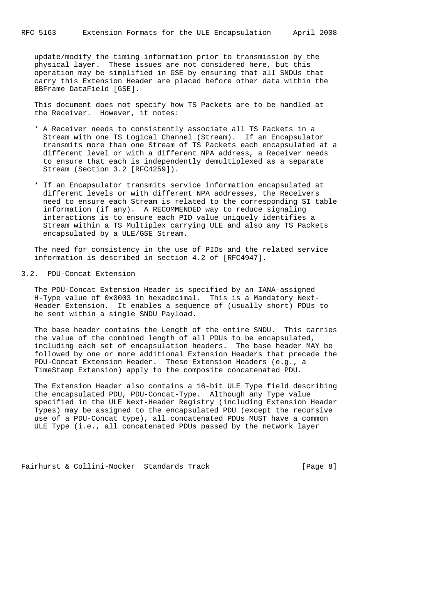update/modify the timing information prior to transmission by the physical layer. These issues are not considered here, but this operation may be simplified in GSE by ensuring that all SNDUs that carry this Extension Header are placed before other data within the BBFrame DataField [GSE].

 This document does not specify how TS Packets are to be handled at the Receiver. However, it notes:

- \* A Receiver needs to consistently associate all TS Packets in a Stream with one TS Logical Channel (Stream). If an Encapsulator transmits more than one Stream of TS Packets each encapsulated at a different level or with a different NPA address, a Receiver needs to ensure that each is independently demultiplexed as a separate Stream (Section 3.2 [RFC4259]).
- \* If an Encapsulator transmits service information encapsulated at different levels or with different NPA addresses, the Receivers need to ensure each Stream is related to the corresponding SI table information (if any). A RECOMMENDED way to reduce signaling interactions is to ensure each PID value uniquely identifies a Stream within a TS Multiplex carrying ULE and also any TS Packets encapsulated by a ULE/GSE Stream.

 The need for consistency in the use of PIDs and the related service information is described in section 4.2 of [RFC4947].

# 3.2. PDU-Concat Extension

 The PDU-Concat Extension Header is specified by an IANA-assigned H-Type value of 0x0003 in hexadecimal. This is a Mandatory Next- Header Extension. It enables a sequence of (usually short) PDUs to be sent within a single SNDU Payload.

 The base header contains the Length of the entire SNDU. This carries the value of the combined length of all PDUs to be encapsulated, including each set of encapsulation headers. The base header MAY be followed by one or more additional Extension Headers that precede the PDU-Concat Extension Header. These Extension Headers (e.g., a TimeStamp Extension) apply to the composite concatenated PDU.

 The Extension Header also contains a 16-bit ULE Type field describing the encapsulated PDU, PDU-Concat-Type. Although any Type value specified in the ULE Next-Header Registry (including Extension Header Types) may be assigned to the encapsulated PDU (except the recursive use of a PDU-Concat type), all concatenated PDUs MUST have a common ULE Type (i.e., all concatenated PDUs passed by the network layer

Fairhurst & Collini-Nocker Standards Track [Page 8]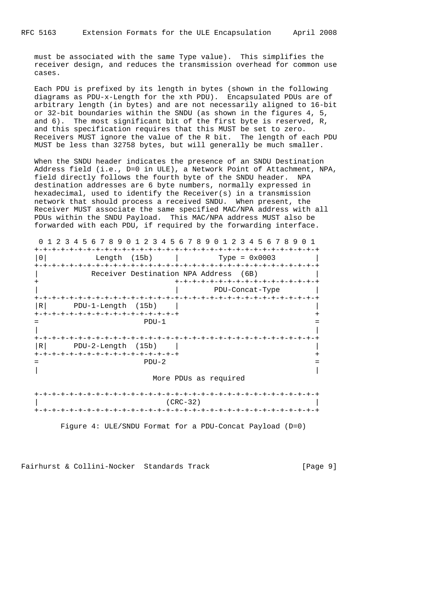must be associated with the same Type value). This simplifies the receiver design, and reduces the transmission overhead for common use cases.

 Each PDU is prefixed by its length in bytes (shown in the following diagrams as PDU-x-Length for the xth PDU). Encapsulated PDUs are of arbitrary length (in bytes) and are not necessarily aligned to 16-bit or 32-bit boundaries within the SNDU (as shown in the figures 4, 5, and 6). The most significant bit of the first byte is reserved, R, and this specification requires that this MUST be set to zero. Receivers MUST ignore the value of the R bit. The length of each PDU MUST be less than 32758 bytes, but will generally be much smaller.

 When the SNDU header indicates the presence of an SNDU Destination Address field (i.e., D=0 in ULE), a Network Point of Attachment, NPA, field directly follows the fourth byte of the SNDU header. NPA destination addresses are 6 byte numbers, normally expressed in hexadecimal, used to identify the Receiver(s) in a transmission network that should process a received SNDU. When present, the Receiver MUST associate the same specified MAC/NPA address with all PDUs within the SNDU Payload. This MAC/NPA address MUST also be forwarded with each PDU, if required by the forwarding interface.

0 1 2 3 4 5 6 7 8 9 0 1 2 3 4 5 6 7 8 9 0 1 2 3 4 5 6 7 8 9 0 1

| $\Omega$       | Length (15b)                                            |         | $Type = 0x0003$                                                            |
|----------------|---------------------------------------------------------|---------|----------------------------------------------------------------------------|
|                |                                                         |         | Receiver Destination NPA Address (6B)<br>+-+-+-+-+-+-+-+-+-+-+-+-+-+-+-+-+ |
|                |                                                         |         | PDU-Concat-Type                                                            |
| R <sub>1</sub> | PDU-1-Length (15b)                                      |         |                                                                            |
|                | +-+-+-+-+-+-+-+-+-+-+-+-+-+-+-+-+-                      | $PDU-1$ |                                                                            |
| R <sub>1</sub> | PDU-2-Length (15b)<br>+-+-+-+-+-+-+-+-+-+-+-+-+-+-+-+-+ |         |                                                                            |
|                |                                                         | $PDU-2$ |                                                                            |
|                |                                                         |         | More PDUs as required                                                      |
|                |                                                         |         |                                                                            |
|                |                                                         |         | $(CRC-32)$                                                                 |

Figure 4: ULE/SNDU Format for a PDU-Concat Payload (D=0)

Fairhurst & Collini-Nocker Standards Track [Page 9]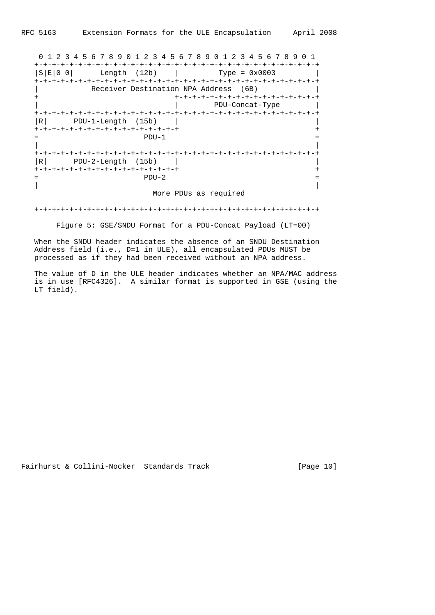0 1 2 3 4 5 6 7 8 9 0 1 2 3 4 5 6 7 8 9 0 1 2 3 4 5 6 7 8 9 0 1 +-+-+-+-+-+-+-+-+-+-+-+-+-+-+-+-+-+-+-+-+-+-+-+-+-+-+-+-+-+-+-+-+  $|S|E|0 0|$  Length (12b)  $|$  Type = 0x0003 +-+-+-+-+-+-+-+-+-+-+-+-+-+-+-+-+-+-+-+-+-+-+-+-+-+-+-+-+-+-+-+-+ Receiver Destination NPA Address (6B) + +-+-+-+-+-+-+-+-+-+-+-+-+-+-+-+-+ | | PDU-Concat-Type | +-+-+-+-+-+-+-+-+-+-+-+-+-+-+-+-+-+-+-+-+-+-+-+-+-+-+-+-+-+-+-+-+ |R| PDU-1-Length (15b) | | +-+-+-+-+-+-+-+-+-+-+-+-+-+-+-+-+ +  $=$   $PDU-1$   $=$  | | +-+-+-+-+-+-+-+-+-+-+-+-+-+-+-+-+-+-+-+-+-+-+-+-+-+-+-+-+-+-+-+-+  $|R|$  PDU-2-Length (15b)  $|$  +-+-+-+-+-+-+-+-+-+-+-+-+-+-+-+-+ +  $=$   $PDU-2$   $=$  | | More PDUs as required

+-+-+-+-+-+-+-+-+-+-+-+-+-+-+-+-+-+-+-+-+-+-+-+-+-+-+-+-+-+-+-+-+

Figure 5: GSE/SNDU Format for a PDU-Concat Payload (LT=00)

 When the SNDU header indicates the absence of an SNDU Destination Address field (i.e., D=1 in ULE), all encapsulated PDUs MUST be processed as if they had been received without an NPA address.

 The value of D in the ULE header indicates whether an NPA/MAC address is in use [RFC4326]. A similar format is supported in GSE (using the LT field).

Fairhurst & Collini-Nocker Standards Track [Page 10]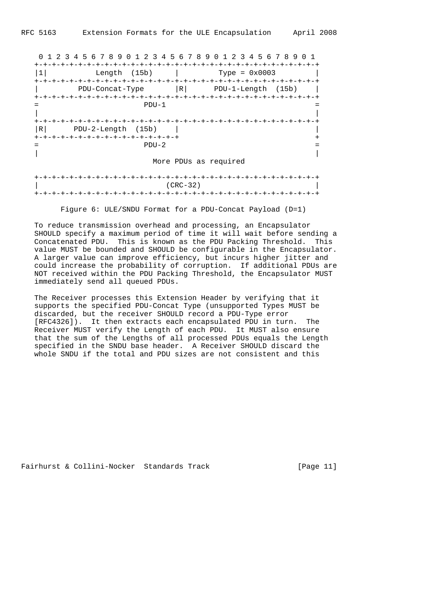0 1 2 3 4 5 6 7 8 9 0 1 2 3 4 5 6 7 8 9 0 1 2 3 4 5 6 7 8 9 0 1 +-+-+-+-+-+-+-+-+-+-+-+-+-+-+-+-+-+-+-+-+-+-+-+-+-+-+-+-+-+-+-+-+ |1| Length (15b) | Type = 0x0003 | +-+-+-+-+-+-+-+-+-+-+-+-+-+-+-+-+-+-+-+-+-+-+-+-+-+-+-+-+-+-+-+-+ | PDU-Concat-Type |R| PDU-1-Length (15b) | +-+-+-+-+-+-+-+-+-+-+-+-+-+-+-+-+-+-+-+-+-+-+-+-+-+-+-+-+-+-+-+-+  $=$   $PDU-1$   $=$  | | +-+-+-+-+-+-+-+-+-+-+-+-+-+-+-+-+-+-+-+-+-+-+-+-+-+-+-+-+-+-+-+-+ |R| PDU-2-Length (15b) | | +-+-+-+-+-+-+-+-+-+-+-+-+-+-+-+-+ +  $=$   $PDU-2$   $=$  | | More PDUs as required +-+-+-+-+-+-+-+-+-+-+-+-+-+-+-+-+-+-+-+-+-+-+-+-+-+-+-+-+-+-+-+-+ | (CRC-32) | +-+-+-+-+-+-+-+-+-+-+-+-+-+-+-+-+-+-+-+-+-+-+-+-+-+-+-+-+-+-+-+-+

Figure 6: ULE/SNDU Format for a PDU-Concat Payload (D=1)

 To reduce transmission overhead and processing, an Encapsulator SHOULD specify a maximum period of time it will wait before sending a Concatenated PDU. This is known as the PDU Packing Threshold. This value MUST be bounded and SHOULD be configurable in the Encapsulator. A larger value can improve efficiency, but incurs higher jitter and could increase the probability of corruption. If additional PDUs are NOT received within the PDU Packing Threshold, the Encapsulator MUST immediately send all queued PDUs.

 The Receiver processes this Extension Header by verifying that it supports the specified PDU-Concat Type (unsupported Types MUST be discarded, but the receiver SHOULD record a PDU-Type error [RFC4326]). It then extracts each encapsulated PDU in turn. The Receiver MUST verify the Length of each PDU. It MUST also ensure that the sum of the Lengths of all processed PDUs equals the Length specified in the SNDU base header. A Receiver SHOULD discard the whole SNDU if the total and PDU sizes are not consistent and this

Fairhurst & Collini-Nocker Standards Track [Page 11]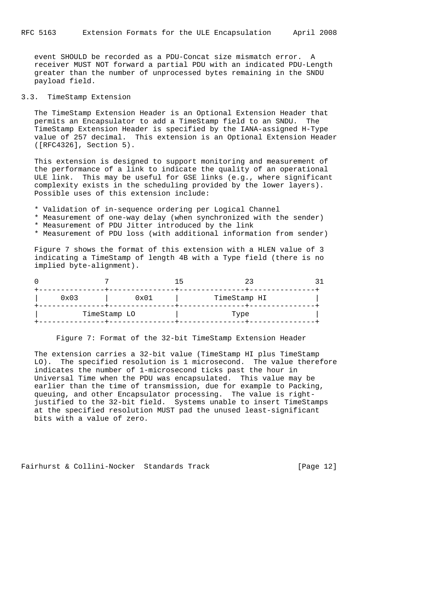event SHOULD be recorded as a PDU-Concat size mismatch error. A receiver MUST NOT forward a partial PDU with an indicated PDU-Length greater than the number of unprocessed bytes remaining in the SNDU payload field.

## 3.3. TimeStamp Extension

 The TimeStamp Extension Header is an Optional Extension Header that permits an Encapsulator to add a TimeStamp field to an SNDU. The TimeStamp Extension Header is specified by the IANA-assigned H-Type value of 257 decimal. This extension is an Optional Extension Header ([RFC4326], Section 5).

 This extension is designed to support monitoring and measurement of the performance of a link to indicate the quality of an operational ULE link. This may be useful for GSE links (e.g., where significant complexity exists in the scheduling provided by the lower layers). Possible uses of this extension include:

- \* Validation of in-sequence ordering per Logical Channel
- \* Measurement of one-way delay (when synchronized with the sender)
- \* Measurement of PDU Jitter introduced by the link
- \* Measurement of PDU loss (with additional information from sender)

 Figure 7 shows the format of this extension with a HLEN value of 3 indicating a TimeStamp of length 4B with a Type field (there is no implied byte-alignment).

|      |              | $\overline{\phantom{a}}$ |  |
|------|--------------|--------------------------|--|
| 0x03 | 0x01         | TimeStamp HI             |  |
|      | TimeStamp LO | Type                     |  |

Figure 7: Format of the 32-bit TimeStamp Extension Header

 The extension carries a 32-bit value (TimeStamp HI plus TimeStamp LO). The specified resolution is 1 microsecond. The value therefore indicates the number of 1-microsecond ticks past the hour in Universal Time when the PDU was encapsulated. This value may be earlier than the time of transmission, due for example to Packing, queuing, and other Encapsulator processing. The value is right justified to the 32-bit field. Systems unable to insert TimeStamps at the specified resolution MUST pad the unused least-significant bits with a value of zero.

Fairhurst & Collini-Nocker Standards Track [Page 12]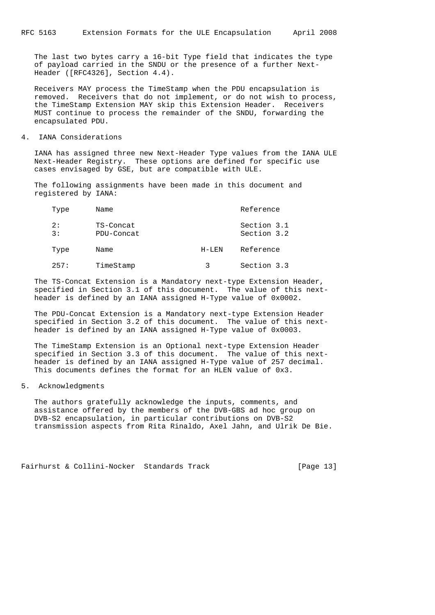The last two bytes carry a 16-bit Type field that indicates the type of payload carried in the SNDU or the presence of a further Next- Header ([RFC4326], Section 4.4).

 Receivers MAY process the TimeStamp when the PDU encapsulation is removed. Receivers that do not implement, or do not wish to process, the TimeStamp Extension MAY skip this Extension Header. Receivers MUST continue to process the remainder of the SNDU, forwarding the encapsulated PDU.

4. IANA Considerations

 IANA has assigned three new Next-Header Type values from the IANA ULE Next-Header Registry. These options are defined for specific use cases envisaged by GSE, but are compatible with ULE.

 The following assignments have been made in this document and registered by IANA:

| Type     | Name                    |         | Reference                  |
|----------|-------------------------|---------|----------------------------|
| 2:<br>3: | TS-Concat<br>PDU-Concat |         | Section 3.1<br>Section 3.2 |
| Type     | Name                    | $H-LEN$ | Reference                  |
| 257:     | TimeStamp               |         | Section 3.3                |

 The TS-Concat Extension is a Mandatory next-type Extension Header, specified in Section 3.1 of this document. The value of this next header is defined by an IANA assigned H-Type value of 0x0002.

 The PDU-Concat Extension is a Mandatory next-type Extension Header specified in Section 3.2 of this document. The value of this next header is defined by an IANA assigned H-Type value of 0x0003.

 The TimeStamp Extension is an Optional next-type Extension Header specified in Section 3.3 of this document. The value of this next header is defined by an IANA assigned H-Type value of 257 decimal. This documents defines the format for an HLEN value of 0x3.

5. Acknowledgments

 The authors gratefully acknowledge the inputs, comments, and assistance offered by the members of the DVB-GBS ad hoc group on DVB-S2 encapsulation, in particular contributions on DVB-S2 transmission aspects from Rita Rinaldo, Axel Jahn, and Ulrik De Bie.

Fairhurst & Collini-Nocker Standards Track [Page 13]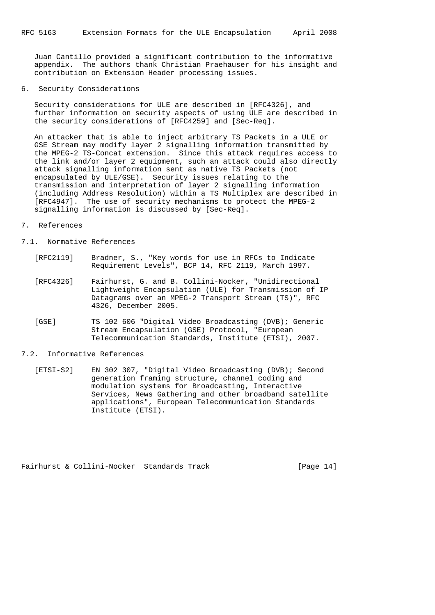Juan Cantillo provided a significant contribution to the informative appendix. The authors thank Christian Praehauser for his insight and contribution on Extension Header processing issues.

## 6. Security Considerations

 Security considerations for ULE are described in [RFC4326], and further information on security aspects of using ULE are described in the security considerations of [RFC4259] and [Sec-Req].

 An attacker that is able to inject arbitrary TS Packets in a ULE or GSE Stream may modify layer 2 signalling information transmitted by the MPEG-2 TS-Concat extension. Since this attack requires access to the link and/or layer 2 equipment, such an attack could also directly attack signalling information sent as native TS Packets (not encapsulated by ULE/GSE). Security issues relating to the transmission and interpretation of layer 2 signalling information (including Address Resolution) within a TS Multiplex are described in [RFC4947]. The use of security mechanisms to protect the MPEG-2 signalling information is discussed by [Sec-Req].

#### 7. References

## 7.1. Normative References

- [RFC2119] Bradner, S., "Key words for use in RFCs to Indicate Requirement Levels", BCP 14, RFC 2119, March 1997.
- [RFC4326] Fairhurst, G. and B. Collini-Nocker, "Unidirectional Lightweight Encapsulation (ULE) for Transmission of IP Datagrams over an MPEG-2 Transport Stream (TS)", RFC 4326, December 2005.
- [GSE] TS 102 606 "Digital Video Broadcasting (DVB); Generic Stream Encapsulation (GSE) Protocol, "European Telecommunication Standards, Institute (ETSI), 2007.

#### 7.2. Informative References

 [ETSI-S2] EN 302 307, "Digital Video Broadcasting (DVB); Second generation framing structure, channel coding and modulation systems for Broadcasting, Interactive Services, News Gathering and other broadband satellite applications", European Telecommunication Standards Institute (ETSI).

Fairhurst & Collini-Nocker Standards Track [Page 14]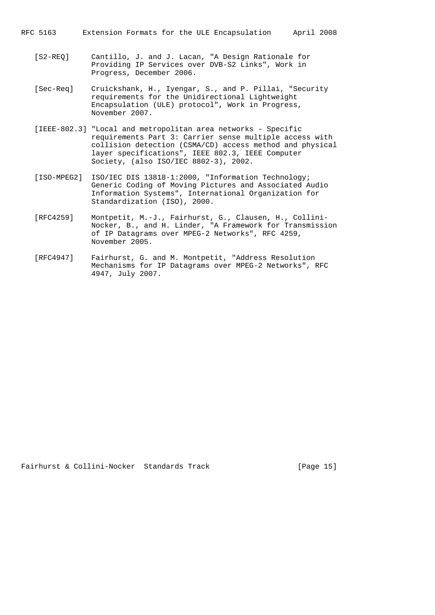RFC 5163 Extension Formats for the ULE Encapsulation April 2008

- [S2-REQ] Cantillo, J. and J. Lacan, "A Design Rationale for Providing IP Services over DVB-S2 Links", Work in Progress, December 2006.
- [Sec-Req] Cruickshank, H., Iyengar, S., and P. Pillai, "Security requirements for the Unidirectional Lightweight Encapsulation (ULE) protocol", Work in Progress, November 2007.
- [IEEE-802.3] "Local and metropolitan area networks Specific requirements Part 3: Carrier sense multiple access with collision detection (CSMA/CD) access method and physical layer specifications", IEEE 802.3, IEEE Computer Society, (also ISO/IEC 8802-3), 2002.
- [ISO-MPEG2] ISO/IEC DIS 13818-1:2000, "Information Technology; Generic Coding of Moving Pictures and Associated Audio Information Systems", International Organization for Standardization (ISO), 2000.
- [RFC4259] Montpetit, M.-J., Fairhurst, G., Clausen, H., Collini- Nocker, B., and H. Linder, "A Framework for Transmission of IP Datagrams over MPEG-2 Networks", RFC 4259, November 2005.
- [RFC4947] Fairhurst, G. and M. Montpetit, "Address Resolution Mechanisms for IP Datagrams over MPEG-2 Networks", RFC 4947, July 2007.

Fairhurst & Collini-Nocker Standards Track [Page 15]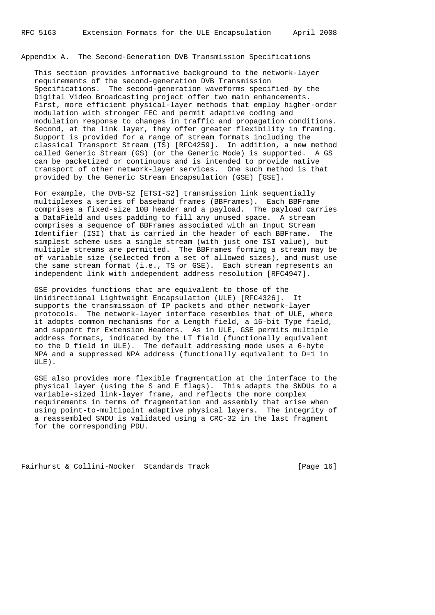Appendix A. The Second-Generation DVB Transmission Specifications

 This section provides informative background to the network-layer requirements of the second-generation DVB Transmission Specifications. The second-generation waveforms specified by the Digital Video Broadcasting project offer two main enhancements. First, more efficient physical-layer methods that employ higher-order modulation with stronger FEC and permit adaptive coding and modulation response to changes in traffic and propagation conditions. Second, at the link layer, they offer greater flexibility in framing. Support is provided for a range of stream formats including the classical Transport Stream (TS) [RFC4259]. In addition, a new method called Generic Stream (GS) (or the Generic Mode) is supported. A GS can be packetized or continuous and is intended to provide native transport of other network-layer services. One such method is that provided by the Generic Stream Encapsulation (GSE) [GSE].

 For example, the DVB-S2 [ETSI-S2] transmission link sequentially multiplexes a series of baseband frames (BBFrames). Each BBFrame comprises a fixed-size 10B header and a payload. The payload carries a DataField and uses padding to fill any unused space. A stream comprises a sequence of BBFrames associated with an Input Stream Identifier (ISI) that is carried in the header of each BBFrame. The simplest scheme uses a single stream (with just one ISI value), but multiple streams are permitted. The BBFrames forming a stream may be of variable size (selected from a set of allowed sizes), and must use the same stream format (i.e., TS or GSE). Each stream represents an independent link with independent address resolution [RFC4947].

 GSE provides functions that are equivalent to those of the Unidirectional Lightweight Encapsulation (ULE) [RFC4326]. It supports the transmission of IP packets and other network-layer protocols. The network-layer interface resembles that of ULE, where it adopts common mechanisms for a Length field, a 16-bit Type field, and support for Extension Headers. As in ULE, GSE permits multiple address formats, indicated by the LT field (functionally equivalent to the D field in ULE). The default addressing mode uses a 6-byte NPA and a suppressed NPA address (functionally equivalent to D=1 in ULE).

 GSE also provides more flexible fragmentation at the interface to the physical layer (using the S and E flags). This adapts the SNDUs to a variable-sized link-layer frame, and reflects the more complex requirements in terms of fragmentation and assembly that arise when using point-to-multipoint adaptive physical layers. The integrity of a reassembled SNDU is validated using a CRC-32 in the last fragment for the corresponding PDU.

Fairhurst & Collini-Nocker Standards Track [Page 16]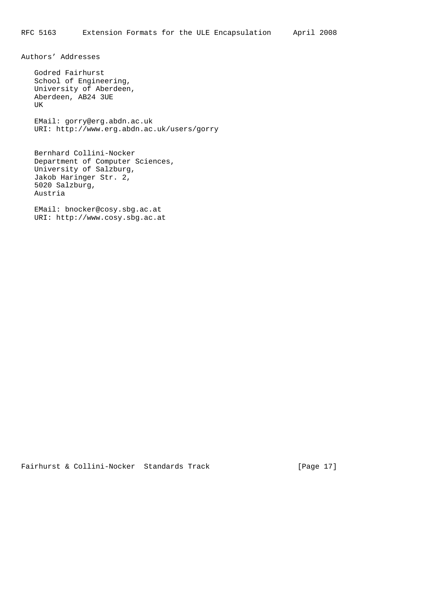Authors' Addresses

 Godred Fairhurst School of Engineering, University of Aberdeen, Aberdeen, AB24 3UE UK EMail: gorry@erg.abdn.ac.uk URI: http://www.erg.abdn.ac.uk/users/gorry

 Bernhard Collini-Nocker Department of Computer Sciences, University of Salzburg, Jakob Haringer Str. 2, 5020 Salzburg, Austria

 EMail: bnocker@cosy.sbg.ac.at URI: http://www.cosy.sbg.ac.at

Fairhurst & Collini-Nocker Standards Track [Page 17]